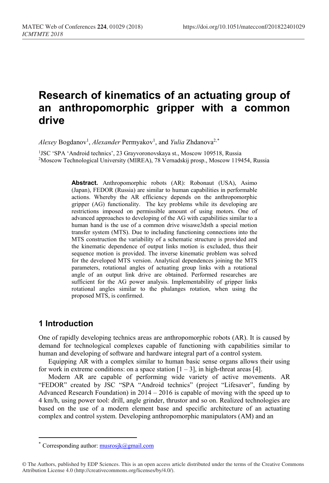# **Research of kinematics of an actuating group of an anthropomorphic gripper with a common drive**

 $A$ *lexey* Bogdanov<sup>1</sup>, Al*exander* Permyakov<sup>1</sup>, and *Yulia* Zhdanova<sup>2,[\\*](#page-0-0)</sup>

<sup>1</sup>JSC 'SPA 'Android technics', 23 Grayvoronovskaya st., Moscow 109518, Russia 2Moscow Technological University (MIREA), 78 Vernadskij prosp., Moscow 119454, Russia

> **Abstract.** Anthropomorphic robots (AR): Robonaut (USA), Asimo (Japan), FEDOR (Russia) are similar to human capabilities in performable actions. Whereby the AR efficiency depends on the anthropomorphic gripper (AG) functionality. The key problems while its developing are restrictions imposed on permissible amount of using motors. One of advanced approaches to developing of the AG with capabilities similar to a human hand is the use of a common drive wisawe3dsth a special motion transfer system (MTS). Due to including functioning connections into the MTS construction the variability of a schematic structure is provided and the kinematic dependence of output links motion is excluded, thus their sequence motion is provided. The inverse kinematic problem was solved for the developed MTS version. Analytical dependences joining the MTS parameters, rotational angles of actuating group links with a rotational angle of an output link drive are obtained. Performed researches are sufficient for the AG power analysis. Implementability of gripper links rotational angles similar to the phalanges rotation, when using the proposed MTS, is confirmed.

# **1 Introduction**

 $\overline{a}$ 

One of rapidly developing technics areas are anthropomorphic robots (AR). It is caused by demand for technological complexes capable of functioning with capabilities similar to human and developing of software and hardware integral part of a control system.

Equipping AR with a complex similar to human basic sense organs allows their using for work in extreme conditions: on a space station  $[1 - 3]$ , in high-threat areas [4].

Modern AR are capable of performing wide variety of active movements. AR "FEDOR" created by JSC "SPA "Android technics" (project "Lifesaver", funding by Advanced Research Foundation) in  $2014 - 2016$  is capable of moving with the speed up to 4 km/h, using power tool: drill, angle grinder, thrustor and so on. Realized technologies are based on the use of a modern element base and specific architecture of an actuating complex and control system. Developing anthropomorphic manipulators (AM) and an

Corresponding author:  $\frac{m \cdot \sin(k\omega)}{m \cdot \sin(k\omega)}$ 

<span id="page-0-0"></span><sup>©</sup> The Authors, published by EDP Sciences. This is an open access article distributed under the terms of the Creative Commons Attribution License 4.0 (http://creativecommons.org/licenses/by/4.0/).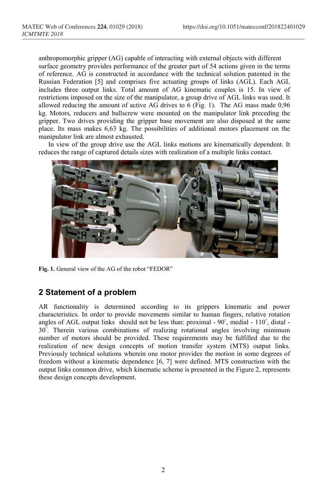anthropomorphic gripper (AG) capable of interacting with external objects with different surface geometry provides performance of the greater part of 54 actions given in the terms of reference. AG is constructed in accordance with the technical solution patented in the Russian Federation [5] and comprises five actuating groups of links (AGL). Each AGL includes three output links. Total amount of AG kinematic couples is 15. In view of restrictions imposed on the size of the manipulator, a group drive of AGL links was used. It allowed reducing the amount of active AG drives to 6 (Fig. 1). The AG mass made 0,96 kg. Motors, reducers and ballscrew were mounted on the manipulator link preceding the gripper. Two drives providing the gripper base movement are also disposed at the same place. Its mass makes 6,63 kg. The possibilities of additional motors placement on the manipulator link are almost exhausted.

In view of the group drive use the AGL links motions are kinematically dependent. It reduces the range of captured details sizes with realization of a multiple links contact.



**Fig. 1.** General view of the AG of the robot "FEDOR"

# **2 Statement of a problem**

AR functionality is determined according to its grippers kinematic and power characteristics. In order to provide movements similar to human fingers, relative rotation angles of AGL output links should not be less than: proximal - 90°, medial - 110°, distal -30° . Therein various combinations of realizing rotational angles involving minimum number of motors should be provided. These requirements may be fulfilled due to the realization of new design concepts of motion transfer system (MTS) output links. Previously technical solutions wherein one motor provides the motion in some degrees of freedom without a kinematic dependence [6, 7] were defined. MTS construction with the output links common drive, which kinematic scheme is presented in the Figure 2, represents these design concepts development.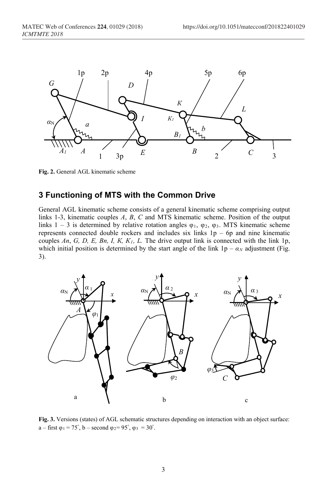

**Fig. 2.** General AGL kinematic scheme

## **3 Functioning of MTS with the Common Drive**

General AGL kinematic scheme consists of a general kinematic scheme comprising output links 1-3, kinematic couples *А*, *В*, *С* and MTS kinematic scheme. Position of the output links 1 – 3 is determined by relative rotation angles  $\varphi_1$ ,  $\varphi_2$ ,  $\varphi_3$ . MTS kinematic scheme represents connected double rockers and includes six links  $1p - 6p$  and nine kinematic couples *An*, *G*, *D*, *E*, *Bn*, *I*, *K*, *K<sub>1</sub>*, *L*. The drive output link is connected with the link 1p, which initial position is determined by the start angle of the link  $1p - \alpha_N$  adjustment (Fig. 3).



**Fig. 3.** Versions (states) of AGL schematic structures depending on interaction with an object surface: a – first  $\varphi_1 = 75^\circ$ , b – second  $\varphi_2 = 95^\circ$ ,  $\varphi_3 = 30^\circ$ .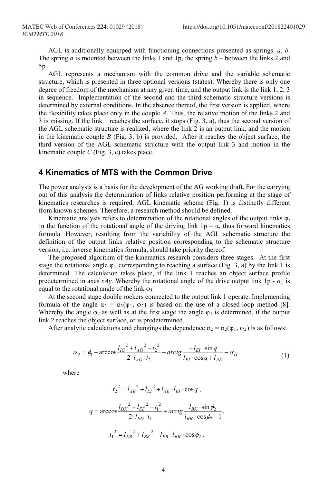AGL is additionally equipped with functioning connections presented as springs: *a, b*. The spring *a* is mounted between the links 1 and 1p, the spring *b –* between the links 2 and 5p.

AGL represents a mechanism with the common drive and the variable schematic structure, which is presented in three optional versions (states). Whereby there is only one degree of freedom of the mechanism at any given time, and the output link is the link 1, 2, 3 in sequence. Implementation of the second and the third schematic structure versions is determined by external conditions. In the absence thereof, the first version is applied, where the flexibility takes place only in the couple *A*. Thus, the relative motion of the links 2 and 3 is missing. If the link 1 reaches the surface, it stops (Fig. 3, a), thus the second version of the AGL schematic structure is realized, where the link 2 is an output link, and the motion in the kinematic couple *B* (Fig. 3, b) is provided. After it reaches the object surface, the third version of the AGL schematic structure with the output link 3 and motion in the kinematic couple *C* (Fig. 3, c) takes place.

### **4 Kinematics of MTS with the Common Drive**

The power analysis is a basis for the development of the AG working draft. For the carrying out of this analysis the determination of links relative position performing at the stage of kinematics researches is required. AGL kinematic scheme (Fig. 1) is distinctly different from known schemes. Therefore, a research method should be defined.

Kinematic analysis refers to determination of the rotational angles of the output links  $\varphi_i$ in the function of the rotational angle of the driving link  $1p - \alpha$ , thus forward kinematics formula. However, resulting from the variability of the AGL schematic structure the definition of the output links relative position corresponding to the schematic structure version, i.e. inverse kinematics formula, should take priority thereof.

The proposed algorithm of the kinematics research considers three stages. At the first stage the rotational angle  $\varphi_1$  corresponding to reaching a surface (Fig. 3, a) by the link 1 is determined. The calculation takes place, if the link 1 reaches an object surface profile predetermined in axes *xAy*. Whereby the rotational angle of the drive output link 1p -  $\alpha_1$  is equal to the rotational angle of the link  $\varphi_1$ .

At the second stage double rockers connected to the output link 1 operate. Implementing formula of the angle  $\alpha_2 = \alpha_2(\varphi_1, \varphi_2)$  is based on the use of a closed-loop method [8]. Whereby the angle  $\varphi_2$  as well as at the first stage the angle  $\varphi_1$  is determined, if the output link 2 reaches the object surface, or is predetermined.

After analytic calculations and changings the dependence  $\alpha_2 = \alpha_2(\varphi_1, \varphi_2)$  is as follows:

$$
\alpha_2 = \phi_1 + \arccos \frac{l_{IG}^2 + l_{AG}^2 - t_2^2}{2 \cdot l_{AG} \cdot t_2} + \arctg \frac{-l_{EI} \cdot \sin q}{l_{EI} \cdot \cos q + l_{AE}} - \alpha_H
$$
(1)

where

$$
t_2^2 = l_{AE}^2 + l_{EI}^2 + l_{AE} \cdot l_{EI} \cdot \cos q,
$$
  

$$
q = \arccos \frac{l_{DK}^2 + l_{ED}^2 - t_1^2}{2 \cdot l_{ED} \cdot t_1} + \arctg \frac{l_{BK} \cdot \sin \phi_2}{l_{BK} \cdot \cos \phi_2 - 1},
$$
  

$$
t_1^2 = l_{EB}^2 + l_{BK}^2 - l_{EB} \cdot l_{BK} \cdot \cos \phi_2.
$$